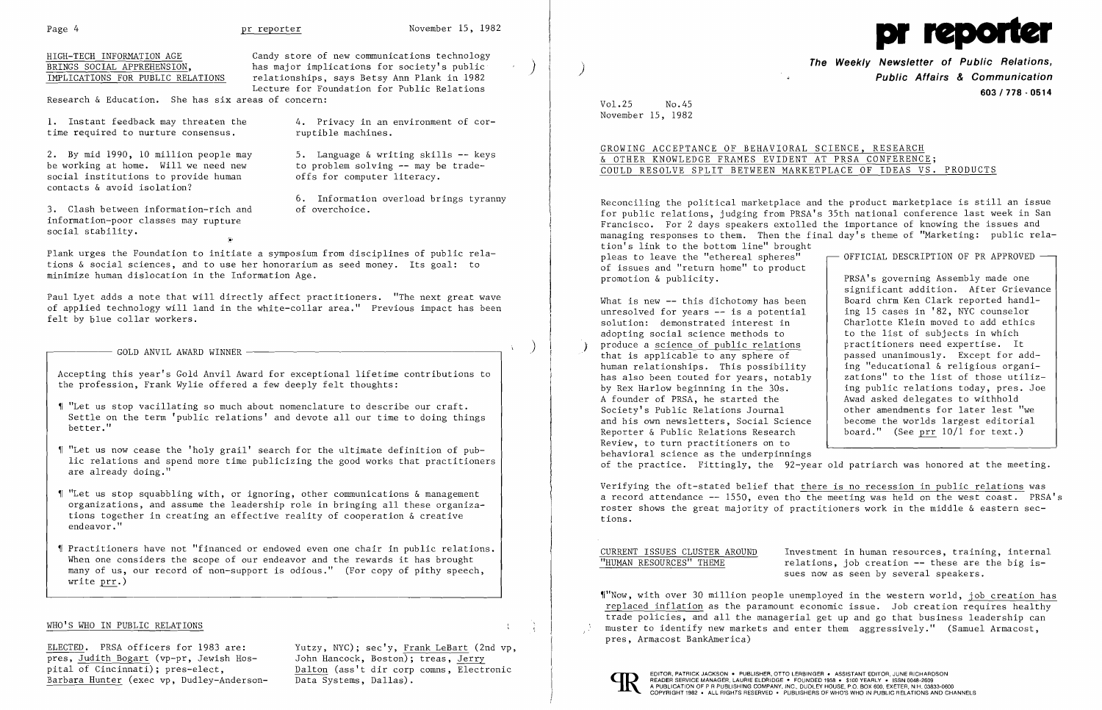|--|

 $\overline{\phantom{a}}$ 

 $\mathcal{X}^{\pm}$ 



HIGH-TECH INFORMATION AGE Candy store of new communications technology<br>BRINGS SOCIAL APPREHENSION. Thas maior implications for society's public BRINGS SOCIAL APPREHENSION, has major implications for society's public (IMPLICATIONS FOR PUBLIC RELATIONS relationships, says Betsy Ann Plank in 1982 relationships, says Betsy Ann Plank in 1982 Lecture for Foundation for Public Relations

Research & Education. She has six areas of concern:

1. Instant feedback may threaten the 4. Privacy in an environment of consensus. time required to nurture consensus.

2. By mid 1990, 10 million people may 5. Language & writing skills -- keys<br>be working at home. Will we need new to problem solving -- may be tradebe working at home. Will we need new to problem solving -- may be social institutions to provide human offs for computer literacy. social institutions to provide human contacts & avoid isolation?

3. Clash between information-rich and information-poor classes may rupture social stability.

4. Privacy in an environment of cor-

- '1 "Let us stop vacillating so much about nomenclature to describe our craft. Settle on the term 'public relations' and devote all our time to doing things better."
- $\P$  "Let us now cease the 'holy grail' search for the ultimate definition of public relations and spend more time publicizing the good works that practitioners are already doing."
- $\P$  "Let us stop squabbling with, or ignoring, other communications & management organizations, and assume the leadership role in bringing all these organiza tions together in creating an effective reality of cooperation & creative endeavor."
- $\P$  Practitioners have not  $"$ financed or endowed even one chair in public relations. $\mid$ When one considers the scope of our endeavor and the rewards it has brought many of us, our record of non-support is odious." (For copy of pithy speech, write prr.)

6. Information overload brings tyranny

~,

Plank urges the Foundation to initiate a symposium from disciplines of public relations & social sciences, and to use her honorarium as seed money. Its goal: to minimize human dislocation in the Information Age.

Paul Lyet adds a note that will directly affect practitioners. "The next great wave of applied technology will land in the white-collar area." Previous impact has been felt by blue collar workers.

 $\begin{pmatrix} 1 & 1 & 1 \end{pmatrix}$  GOLD ANVIL AWARD WINNER  $\begin{pmatrix} 1 & 1 & 1 \end{pmatrix}$ 

Reconciling the political marketplace and the product marketplace is still an issue for public relations, judging from PRSA's 35th national conference last week in San Francisco. For 2 days speakers extolled the importance of knowing the issues and managing responses to them. Then the final day's theme of "Marketing: public relation's link to the bottom line" brought pleas to leave the "ethereal spheres"  $\qquad \qquad \qquad \qquad$  OFFICIAL DESCRIPTION OF PR APPROVED  $\qquad$ of issues and "return home" to product<br>promotion & publicity. PRSA's governing Assembly made one

What is new  $-$  this dichotomy has been  $\vert$  Board chrm Ken Clark reported handl<br>unresolved for years  $-$  is a potential ing 15 cases in '82, NYC counselor unresolved for years -- is a potential<br>solution: demonstrated interest in solution: demonstrated interest in <br>adopting social science methods to <br>to the list of subjects in which adopting social science methods to the list of subjects in which

Accepting this year's Gold Anvil Award for exceptional lifetime contributions to the profession, Frank Wylie offered a few deeply felt thoughts:

significant addition. After Grievance<br>Board chrm Ken Clark reported handlpractitioners need expertise. It

produce a <u>science of public relations</u><br>that is applicable to any sphere of that is applicable to any sphere of  $\left\{\n\begin{array}{c}\n\text{pased unanimously.} \quad \text{Expected}\n\end{array}\n\right.$ <br>
human relationships. This possibility  $\left.\right|$  ing "educational & religious organiing "educational & religious organi-<br>zations" to the list of those utilizhas also been touted for years, notably<br>by Rex Harlow beginning in the 30s. ing public relations today, pres. Joe<br>Awad asked delegates to withhold A founder of PRSA, he started the Awad asked delegates to withhold<br>Society's Public Relations Journal bether amendments for later lest "we Society's Public Relations Journal<br>and his own newsletters, Social Science become the worlds largest editorial Reporter & Public Relations Research board." (See prr 10/1 for text.) Review, to turn practitioners on to behavioral science as the underpinnings of the practice. Fittingly, the 92-year old patriarch was honored at the meeting.

## WHO'S WHO IN PUBLIC RELATIONS

CURRENT ISSUES CLUSTER AROUND<br>
"HUMAN RESOURCES" THEME Telations, job creation -- these are the big is $relations, job creation -- these are the big is$ sues now as seen by several speakers.

**The Weekly Newsletter of Public Relations,** ) **Public Affairs & Communication 603/778·0514** 

Vol.25 No.45 November 15, 1982

# GROWING ACCEPTANCE OF BEHAVIORAL SCIENCE, RESEARCH & OTHER KNOWLEDGE FRAMES EVIDENT AT PRSA CONFERENCE; COULD RESOLVE SPLIT BETWEEN MARKETPLACE OF IDEAS VS. PRODUCTS

ELECTED. PRSA officers for 1983 are: Yutzy, NYC); sec'y, Frank LeBart (2nd vp, pres, Judith Bogart (vp-pr, Jewish Hos- John Hancock, Boston); treas, Jerry  $\overline{\text{pres}}$ , Judith Bogart (vp-pr, Jewish Hospital of Cincinnati); pres-elect, Barbara Hunter (exec vp, Dudley-Anderson-

Dalton (ass't dir corp comns, Electronic Data Systems, Dallas).

Verifying the oft-stated belief that there is no recession in public relations was a record attendance -- 1550, even tho the meeting was held on the west coast. PRSA's roster shows the great majority of practitioners work in the middle & eastern sections.

'I"Now, with over 30 million people unemployed in the western world, job creation has replaced inflation as the paramount economic issue. Job creation requires healthy trade policies, and all the managerial get up and go that business leadership can muster to identify new markets and enter them aggressively." (Samuel Armacost, pres, Armacost BankAmerica)